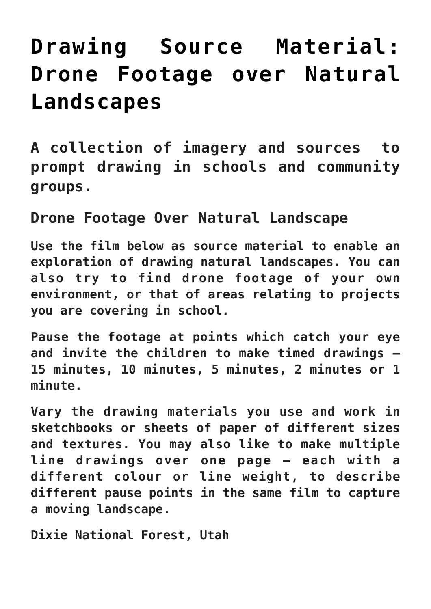## **[Drawing Source Material:](https://www.accessart.org.uk/drawing-source-material-drone-footage-natural-landscape/) [Drone Footage over Natural](https://www.accessart.org.uk/drawing-source-material-drone-footage-natural-landscape/) [Landscapes](https://www.accessart.org.uk/drawing-source-material-drone-footage-natural-landscape/)**

**A collection of imagery and sources to prompt drawing in schools and community groups.** 

## **Drone Footage Over Natural Landscape**

**Use the film below as source material to enable an exploration of drawing natural landscapes. You can also try to find drone footage of your own environment, or that of areas relating to projects you are covering in school.**

**Pause the footage at points which catch your eye and invite the children to make timed drawings – 15 minutes, 10 minutes, 5 minutes, 2 minutes or 1 minute.** 

**Vary the drawing materials you use and work in sketchbooks or sheets of paper of different sizes and textures. You may also like to make multiple line drawings over one page – each with a different colour or line weight, to describe different pause points in the same film to capture a moving landscape.** 

**Dixie National Forest, Utah**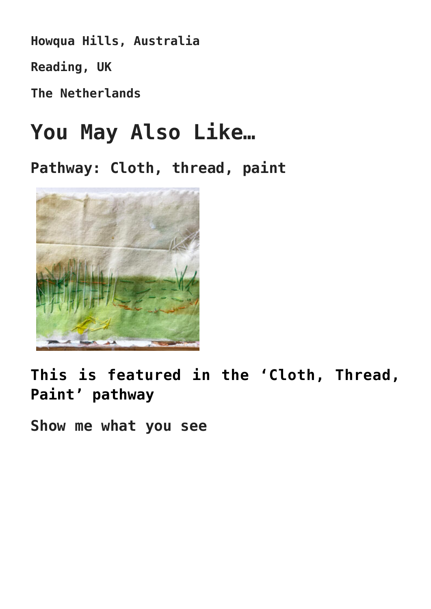**Howqua Hills, Australia**

**Reading, UK**

**The Netherlands**

## **You May Also Like…**

**Pathway: Cloth, thread, paint**



**[This is featured in the 'Cloth, Thread,](https://www.accessart.org.uk/cloth-thread-paint/) [Paint' pathway](https://www.accessart.org.uk/cloth-thread-paint/)**

**Show me what you see**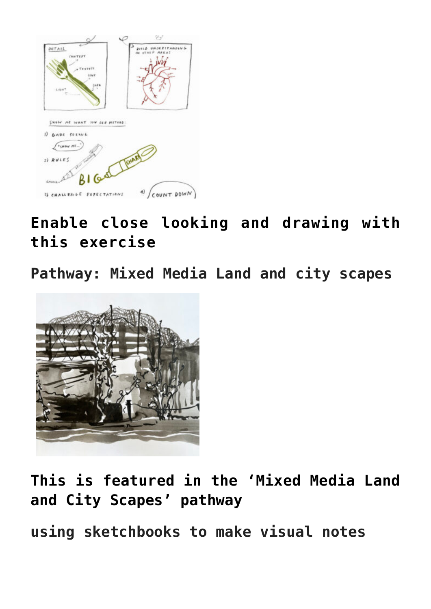

## **[Enable close looking and drawing with](https://www.accessart.org.uk/show-me-what-you-see-method/) [this exercise](https://www.accessart.org.uk/show-me-what-you-see-method/)**

**Pathway: Mixed Media Land and city scapes**



**[This is featured in the 'Mixed Media Land](https://www.accessart.org.uk/mixed-media-land-and-city-scapes/) [and City Scapes' pathway](https://www.accessart.org.uk/mixed-media-land-and-city-scapes/)**

**using sketchbooks to make visual notes**